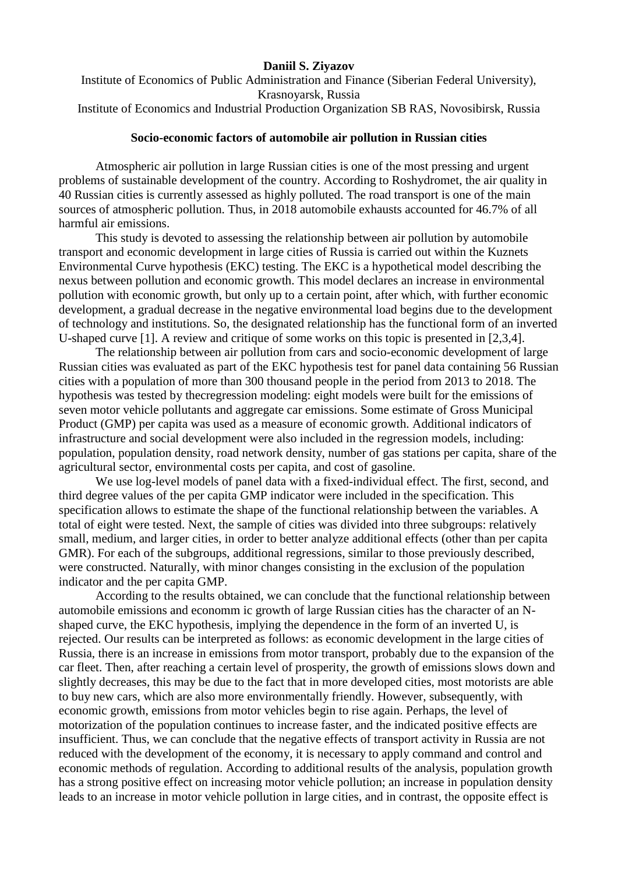## **Daniil S. Ziyazov**

Institute of Economics of Public Administration and Finance (Siberian Federal University), Krasnoyarsk, Russia

Institute of Economics and Industrial Production Organization SB RAS, Novosibirsk, Russia

## **Socio-economic factors of automobile air pollution in Russian cities**

Atmospheric air pollution in large Russian cities is one of the most pressing and urgent problems of sustainable development of the country. According to Roshydromet, the air quality in 40 Russian cities is currently assessed as highly polluted. The road transport is one of the main sources of atmospheric pollution. Thus, in 2018 automobile exhausts accounted for 46.7% of all harmful air emissions.

This study is devoted to assessing the relationship between air pollution by automobile transport and economic development in large cities of Russia is carried out within the Kuznets Environmental Curve hypothesis (EKC) testing. The EKC is a hypothetical model describing the nexus between pollution and economic growth. This model declares an increase in environmental pollution with economic growth, but only up to a certain point, after which, with further economic development, a gradual decrease in the negative environmental load begins due to the development of technology and institutions. So, the designated relationship has the functional form of an inverted U-shaped curve [1]. A review and critique of some works on this topic is presented in [2,3,4].

The relationship between air pollution from cars and socio-economic development of large Russian cities was evaluated as part of the EKC hypothesis test for panel data containing 56 Russian cities with a population of more than 300 thousand people in the period from 2013 to 2018. The hypothesis was tested by thecregression modeling: eight models were built for the emissions of seven motor vehicle pollutants and aggregate car emissions. Some estimate of Gross Municipal Product (GMP) per capita was used as a measure of economic growth. Additional indicators of infrastructure and social development were also included in the regression models, including: population, population density, road network density, number of gas stations per capita, share of the agricultural sector, environmental costs per capita, and cost of gasoline.

We use log-level models of panel data with a fixed-individual effect. The first, second, and third degree values of the per capita GMP indicator were included in the specification. This specification allows to estimate the shape of the functional relationship between the variables. A total of eight were tested. Next, the sample of cities was divided into three subgroups: relatively small, medium, and larger cities, in order to better analyze additional effects (other than per capita GMR). For each of the subgroups, additional regressions, similar to those previously described, were constructed. Naturally, with minor changes consisting in the exclusion of the population indicator and the per capita GMP.

According to the results obtained, we can conclude that the functional relationship between automobile emissions and economm ic growth of large Russian cities has the character of an Nshaped curve, the EKC hypothesis, implying the dependence in the form of an inverted U, is rejected. Our results can be interpreted as follows: as economic development in the large cities of Russia, there is an increase in emissions from motor transport, probably due to the expansion of the car fleet. Then, after reaching a certain level of prosperity, the growth of emissions slows down and slightly decreases, this may be due to the fact that in more developed cities, most motorists are able to buy new cars, which are also more environmentally friendly. However, subsequently, with economic growth, emissions from motor vehicles begin to rise again. Perhaps, the level of motorization of the population continues to increase faster, and the indicated positive effects are insufficient. Thus, we can conclude that the negative effects of transport activity in Russia are not reduced with the development of the economy, it is necessary to apply command and control and economic methods of regulation. According to additional results of the analysis, population growth has a strong positive effect on increasing motor vehicle pollution; an increase in population density leads to an increase in motor vehicle pollution in large cities, and in contrast, the opposite effect is